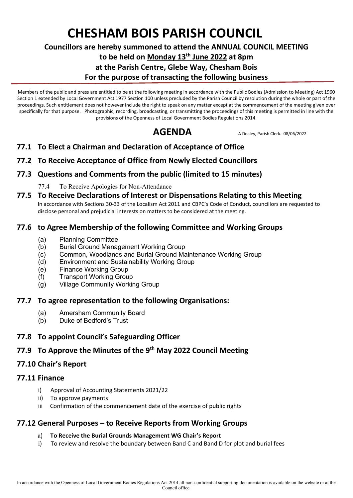# **CHESHAM BOIS PARISH COUNCIL**

#### **Councillors are hereby summoned to attend the ANNUAL COUNCIL MEETING**

**to be held on Monday 13th June 2022 at 8pm**

#### **at the Parish Centre, Glebe Way, Chesham Bois**

#### **For the purpose of transacting the following business**

Members of the public and press are entitled to be at the following meeting in accordance with the Public Bodies (Admission to Meeting) Act 1960 Section 1 extended by Local Government Act 1977 Section 100 unless precluded by the Parish Council by resolution during the whole or part of the proceedings. Such entitlement does not however include the right to speak on any matter except at the commencement of the meeting given over specifically for that purpose. Photographic, recording, broadcasting, or transmitting the proceedings of this meeting is permitted in line with the provisions of the Openness of Local Government Bodies Regulations 2014.

AGENDA A Dealey, Parish Clerk. 08/06/2022

- **77.1 To Elect a Chairman and Declaration of Acceptance of Office**
- **77.2 To Receive Acceptance of Office from Newly Elected Councillors**

# **77.3 Questions and Comments from the public (limited to 15 minutes)**

- 77.4 To Receive Apologies for Non-Attendance
- **77.5 To Receive Declarations of Interest or Dispensations Relating to this Meeting** In accordance with Sections 30-33 of the Localism Act 2011 and CBPC's Code of Conduct, councillors are requested to disclose personal and prejudicial interests on matters to be considered at the meeting.

# **77.6 to Agree Membership of the following Committee and Working Groups**

- (a) Planning Committee
- (b) Burial Ground Management Working Group
- (c) Common, Woodlands and Burial Ground Maintenance Working Group
- (d) Environment and Sustainability Working Group
- (e) Finance Working Group
- (f) Transport Working Group
- (g) Village Community Working Group

#### **77.7 To agree representation to the following Organisations:**

- (a) Amersham Community Board
- (b) Duke of Bedford's Trust

# **77.8 To appoint Council's Safeguarding Officer**

# **77.9 To Approve the Minutes of the 9 th May 2022 Council Meeting**

# **77.10 Chair's Report**

#### **77.11 Finance**

- i) Approval of Accounting Statements 2021/22
- ii) To approve payments
- iii Confirmation of the commencement date of the exercise of public rights

# **77.12 General Purposes – to Receive Reports from Working Groups**

#### a) **To Receive the Burial Grounds Management WG Chair's Report**

i) To review and resolve the boundary between Band C and Band D for plot and burial fees